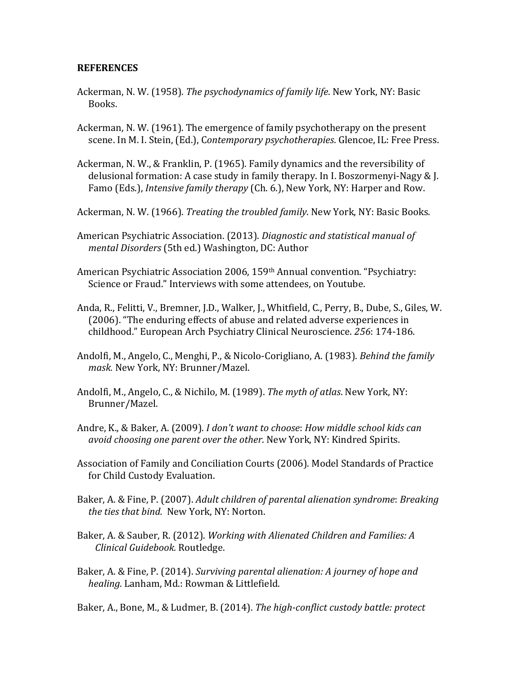## **REFERENCES**

- Ackerman, N. W. (1958). *The psychodynamics of family life*. New York, NY: Basic Books.
- Ackerman, N. W. (1961). The emergence of family psychotherapy on the present scene. In M. I. Stein, (Ed.), Contemporary psychotherapies. Glencoe, IL: Free Press.
- Ackerman, N. W., & Franklin, P. (1965). Family dynamics and the reversibility of delusional formation: A case study in family therapy. In I. Boszormenyi-Nagy & J. Famo (Eds.), *Intensive family therapy* (Ch. 6.), New York, NY: Harper and Row.
- Ackerman, N. W. (1966). *Treating the troubled family*. New York, NY: Basic Books.
- American Psychiatric Association. (2013). *Diagnostic and statistical manual of mental Disorders* (5th ed.) Washington, DC: Author
- American Psychiatric Association 2006, 159th Annual convention. "Psychiatry: Science or Fraud." Interviews with some attendees, on Youtube.
- Anda, R., Felitti, V., Bremner, J.D., Walker, J., Whitfield, C., Perry, B., Dube, S., Giles, W. (2006). "The enduring effects of abuse and related adverse experiences in childhood." European Arch Psychiatry Clinical Neuroscience. 256: 174-186.
- Andolfi, M., Angelo, C., Menghi, P., & Nicolo-Corigliano, A. (1983). *Behind the family mask.* New York, NY: Brunner/Mazel.
- Andolfi, M., Angelo, C., & Nichilo, M. (1989). The myth of atlas. New York, NY: Brunner/Mazel.
- Andre, K., & Baker, A. (2009). *I don't want to choose: How middle school kids can avoid choosing one parent over the other*. New York, NY: Kindred Spirits.
- Association of Family and Conciliation Courts (2006). Model Standards of Practice for Child Custody Evaluation.
- Baker, A. & Fine, P. (2007). *Adult children of parental alienation syndrome: Breaking the ties that bind.* New York, NY: Norton.
- Baker, A. & Sauber, R. (2012). *Working with Alienated Children and Families: A Clinical Guidebook.* Routledge.
- Baker, A. & Fine, P. (2014). *Surviving parental alienation: A journey of hope and* healing. Lanham, Md.: Rowman & Littlefield.
- Baker, A., Bone, M., & Ludmer, B. (2014). *The high-conflict custody battle: protect*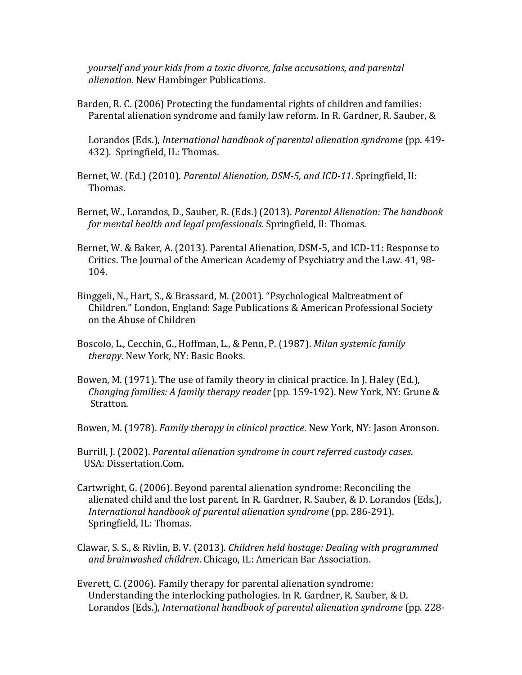*yourself and your kids from a toxic divorce, false accusations, and parental alienation.* New Hambinger Publications.

Barden, R. C. (2006) Protecting the fundamental rights of children and families: Parental alienation syndrome and family law reform. In R. Gardner, R. Sauber, &

Lorandos (Eds.), *International handbook of parental alienation syndrome* (pp. 419-432). Springfield, IL: Thomas.

Bernet, W. (Ed.) (2010). *Parental Alienation, DSM-5, and ICD-11*. Springfield, Il: Thomas.

- Bernet, W., Lorandos, D., Sauber, R. (Eds.) (2013). *Parental Alienation: The handbook for mental health and legal professionals.* Springfield, II: Thomas.
- Bernet, W. & Baker, A. (2013). Parental Alienation, DSM-5, and ICD-11: Response to Critics. The Journal of the American Academy of Psychiatry and the Law. 41, 98- 104.
- Binggeli, N., Hart, S., & Brassard, M. (2001). "Psychological Maltreatment of Children." London, England: Sage Publications & American Professional Society on the Abuse of Children
- Boscolo, L., Cecchin, G., Hoffman, L., & Penn, P. (1987). *Milan systemic family therapy*. New York, NY: Basic Books.
- Bowen, M. (1971). The use of family theory in clinical practice. In J. Haley (Ed.), *Changing families: A family therapy reader* (pp. 159-192). New York, NY: Grune & Stratton.

Bowen, M. (1978). *Family therapy in clinical practice*. New York, NY: Jason Aronson.

- Burrill, J. (2002). *Parental alienation syndrome in court referred custody cases.* USA: Dissertation.Com.
- Cartwright, G. (2006). Beyond parental alienation syndrome: Reconciling the alienated child and the lost parent. In R. Gardner, R. Sauber, & D. Lorandos (Eds.), International handbook of parental alienation syndrome (pp. 286-291). Springfield, IL: Thomas.
- Clawar, S. S., & Rivlin, B. V. (2013). *Children held hostage: Dealing with programmed* and brainwashed children. Chicago, IL: American Bar Association.
- Everett, C. (2006). Family therapy for parental alienation syndrome: Understanding the interlocking pathologies. In R. Gardner, R. Sauber, & D. Lorandos (Eds.), *International handbook of parental alienation syndrome* (pp. 228-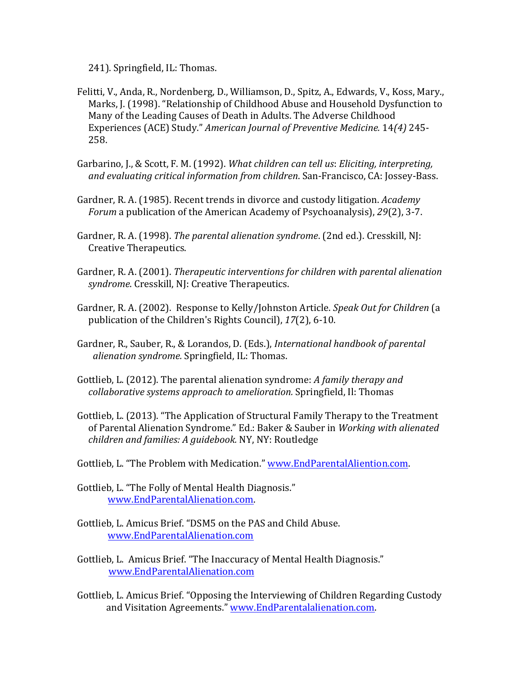241). Springfield, IL: Thomas.

- Felitti, V., Anda, R., Nordenberg, D., Williamson, D., Spitz, A., Edwards, V., Koss, Mary., Marks, J. (1998). "Relationship of Childhood Abuse and Household Dysfunction to Many of the Leading Causes of Death in Adults. The Adverse Childhood Experiences (ACE) Study." *American Journal of Preventive Medicine.* 14(4) 245- 258.
- Garbarino, J., & Scott, F. M. (1992). *What children can tell us: Eliciting, interpreting,* and evaluating critical information from children. San-Francisco, CA: Jossey-Bass.
- Gardner, R. A. (1985). Recent trends in divorce and custody litigation. *Academy Forum* a publication of the American Academy of Psychoanalysis), 29(2), 3-7.
- Gardner, R. A. (1998). *The parental alienation syndrome*. (2nd ed.). Cresskill, NJ: Creative Therapeutics.
- Gardner, R. A. (2001). *Therapeutic interventions for children with parental alienation syndrome*. Cresskill, NJ: Creative Therapeutics.
- Gardner, R. A. (2002). Response to Kelly/Johnston Article. Speak Out for Children (a publication of the Children's Rights Council), 17(2), 6-10.
- Gardner, R., Sauber, R., & Lorandos, D. (Eds.), *International handbook of parental alienation syndrome.* Springfield, IL: Thomas.
- Gottlieb, L. (2012). The parental alienation syndrome: *A family therapy and collaborative systems approach to amelioration.* Springfield, Il: Thomas
- Gottlieb, L. (2013). "The Application of Structural Family Therapy to the Treatment of Parental Alienation Syndrome." Ed.: Baker & Sauber in *Working with alienated* children and families: A guidebook. NY, NY: Routledge
- Gottlieb, L. "The Problem with Medication." www.EndParentalAliention.com.
- Gottlieb, L. "The Folly of Mental Health Diagnosis." www.EndParentalAlienation.com.
- Gottlieb. L. Amicus Brief. "DSM5 on the PAS and Child Abuse. www.EndParentalAlienation.com
- Gottlieb, L. Amicus Brief. "The Inaccuracy of Mental Health Diagnosis." www.EndParentalAlienation.com
- Gottlieb, L. Amicus Brief. "Opposing the Interviewing of Children Regarding Custody and Visitation Agreements." www.EndParentalalienation.com.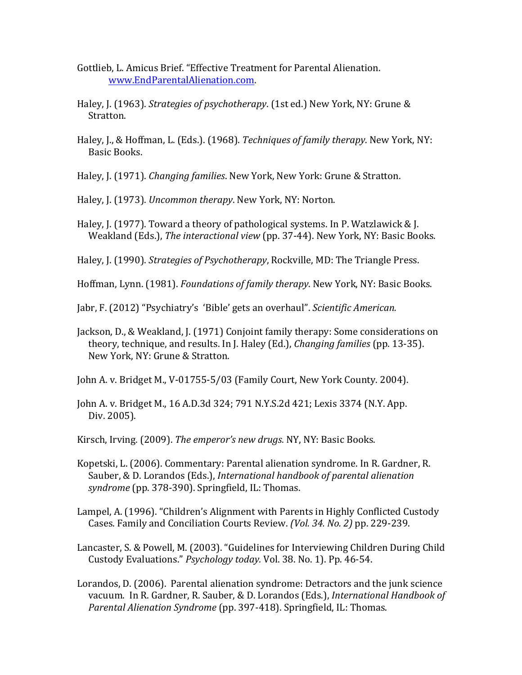- Gottlieb, L. Amicus Brief. "Effective Treatment for Parental Alienation. www.EndParentalAlienation.com.
- Haley, J. (1963). *Strategies of psychotherapy*. (1st ed.) New York, NY: Grune & Stratton.
- Haley, J., & Hoffman, L. (Eds.). (1968). *Techniques of family therapy*. New York, NY: Basic Books.
- Haley, J. (1971). *Changing families*. New York, New York: Grune & Stratton.
- Haley, J. (1973). *Uncommon therapy*. New York, NY: Norton.
- Haley, J. (1977). Toward a theory of pathological systems. In P. Watzlawick & J. Weakland (Eds.), *The interactional view* (pp. 37-44). New York, NY: Basic Books.
- Haley, J. (1990). *Strategies of Psychotherapy*, Rockville, MD: The Triangle Press.

Hoffman, Lynn. (1981). *Foundations of family therapy*. New York, NY: Basic Books.

Jabr, F. (2012) "Psychiatry's 'Bible' gets an overhaul". Scientific American.

Jackson, D., & Weakland, J. (1971) Conjoint family therapy: Some considerations on theory, technique, and results. In J. Haley (Ed.), *Changing families* (pp. 13-35). New York, NY: Grune & Stratton.

John A. v. Bridget M., V-01755-5/03 (Family Court, New York County. 2004).

John A. v. Bridget M., 16 A.D.3d 324; 791 N.Y.S.2d 421; Lexis 3374 (N.Y. App.) Div. 2005).

Kirsch, Irving. (2009). The emperor's new drugs. NY, NY: Basic Books.

- Kopetski, L. (2006). Commentary: Parental alienation syndrome. In R. Gardner, R. Sauber, & D. Lorandos (Eds.), *International handbook of parental alienation* svndrome (pp. 378-390). Springfield, IL: Thomas.
- Lampel, A. (1996). "Children's Alignment with Parents in Highly Conflicted Custody Cases. Family and Conciliation Courts Review. *(Vol. 34. No. 2)* pp. 229-239.
- Lancaster, S. & Powell, M. (2003). "Guidelines for Interviewing Children During Child Custody Evaluations." *Psychology today.* Vol. 38. No. 1). Pp. 46-54.
- Lorandos, D. (2006). Parental alienation syndrome: Detractors and the junk science vacuum. In R. Gardner, R. Sauber, & D. Lorandos (Eds.), *International Handbook of* Parental Alienation Syndrome (pp. 397-418). Springfield, IL: Thomas.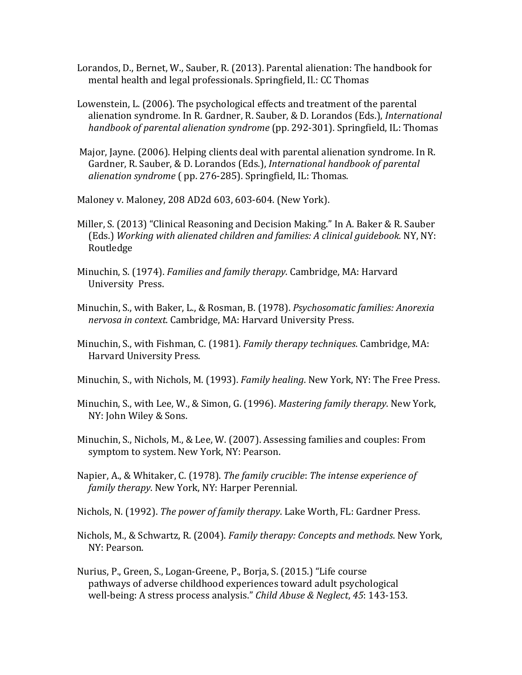Lorandos, D., Bernet, W., Sauber, R. (2013). Parental alienation: The handbook for mental health and legal professionals. Springfield, Il.: CC Thomas

- Lowenstein, L. (2006). The psychological effects and treatment of the parental alienation syndrome. In R. Gardner, R. Sauber, & D. Lorandos (Eds.), *International handbook of parental alienation syndrome* (pp. 292-301). Springfield, IL: Thomas
- Major, Jayne. (2006). Helping clients deal with parental alienation syndrome. In R. Gardner, R. Sauber, & D. Lorandos (Eds.), *International handbook of parental alienation syndrome* (*pp.* 276-285). Springfield, IL: Thomas.

Maloney v. Maloney, 208 AD2d 603, 603-604. (New York).

- Miller, S. (2013) "Clinical Reasoning and Decision Making." In A. Baker & R. Sauber (Eds.) Working with alienated children and families: A clinical guidebook. NY, NY: Routledge
- Minuchin, S. (1974). *Families and family therapy*. Cambridge, MA: Harvard University Press.
- Minuchin, S., with Baker, L., & Rosman, B. (1978). *Psychosomatic families: Anorexia nervosa in context.* Cambridge, MA: Harvard University Press.
- Minuchin, S., with Fishman, C. (1981). *Family therapy techniques*. Cambridge, MA: Harvard University Press.
- Minuchin, S., with Nichols, M. (1993). *Family healing*. New York, NY: The Free Press.
- Minuchin, S., with Lee, W., & Simon, G. (1996). *Mastering family therapy*. New York, NY: John Wiley & Sons.
- Minuchin, S., Nichols, M., & Lee, W. (2007). Assessing families and couples: From symptom to system. New York, NY: Pearson.
- Napier, A., & Whitaker, C. (1978). *The family crucible: The intense experience of family therapy*. New York, NY: Harper Perennial.

Nichols, N. (1992). *The power of family therapy*. Lake Worth, FL: Gardner Press.

- Nichols, M., & Schwartz, R. (2004). *Family therapy: Concepts and methods*. New York, NY: Pearson.
- Nurius, P., Green, S., Logan-Greene, P., Borja, S. (2015.) "Life course pathways of adverse childhood experiences toward adult psychological well-being: A stress process analysis." *Child Abuse & Neglect*, 45: 143-153.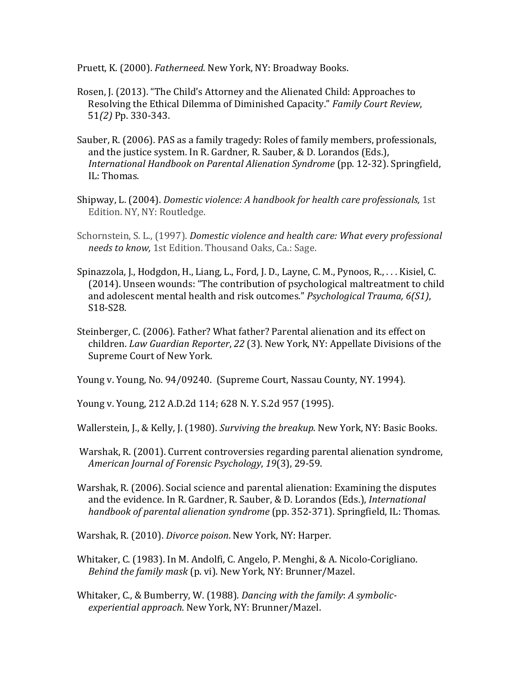Pruett, K. (2000). *Fatherneed*. New York, NY: Broadway Books.

- Rosen, J. (2013). "The Child's Attorney and the Alienated Child: Approaches to Resolving the Ethical Dilemma of Diminished Capacity." Family Court Review, 51*(2)* Pp. 330-343.
- Sauber, R. (2006). PAS as a family tragedy: Roles of family members, professionals, and the justice system. In R. Gardner, R. Sauber, & D. Lorandos (Eds.), *International Handbook on Parental Alienation Syndrome* (pp. 12-32). Springfield, IL: Thomas.
- Shipway, L. (2004). *Domestic violence: A handbook for health care professionals*, 1st Edition. NY, NY: Routledge.
- Schornstein, S. L., (1997). *Domestic violence and health care: What every professional* needs to know, 1st Edition. Thousand Oaks, Ca.: Sage.
- Spinazzola, J., Hodgdon, H., Liang, L., Ford, J. D., Layne, C. M., Pynoos, R., ... Kisiel, C. (2014). Unseen wounds: "The contribution of psychological maltreatment to child and adolescent mental health and risk outcomes." *Psychological Trauma, 6(S1)*, S18-S28.
- Steinberger, C. (2006). Father? What father? Parental alienation and its effect on children. *Law Guardian Reporter*, 22 (3). New York, NY: Appellate Divisions of the Supreme Court of New York.

Young v. Young, No. 94/09240. (Supreme Court, Nassau County, NY. 1994).

Young v. Young, 212 A.D.2d 114; 628 N.Y. S.2d 957 (1995).

Wallerstein, J., & Kelly, J. (1980). *Surviving the breakup*. New York, NY: Basic Books.

Warshak, R. (2001). Current controversies regarding parental alienation syndrome, *American Journal of Forensic Psychology*, *19*(3), 29-59.

Warshak, R. (2006). Social science and parental alienation: Examining the disputes and the evidence. In R. Gardner, R. Sauber, & D. Lorandos (Eds.), *International handbook of parental alienation syndrome* (pp. 352-371). Springfield, IL: Thomas.

Warshak, R. (2010). *Divorce poison*. New York, NY: Harper.

Whitaker, C. (1983). In M. Andolfi, C. Angelo, P. Menghi, & A. Nicolo-Corigliano. *Behind the family mask* (p. vi). New York, NY: Brunner/Mazel.

Whitaker, C., & Bumberry, W. (1988). *Dancing with the family: A symbolic*experiential approach. New York, NY: Brunner/Mazel.